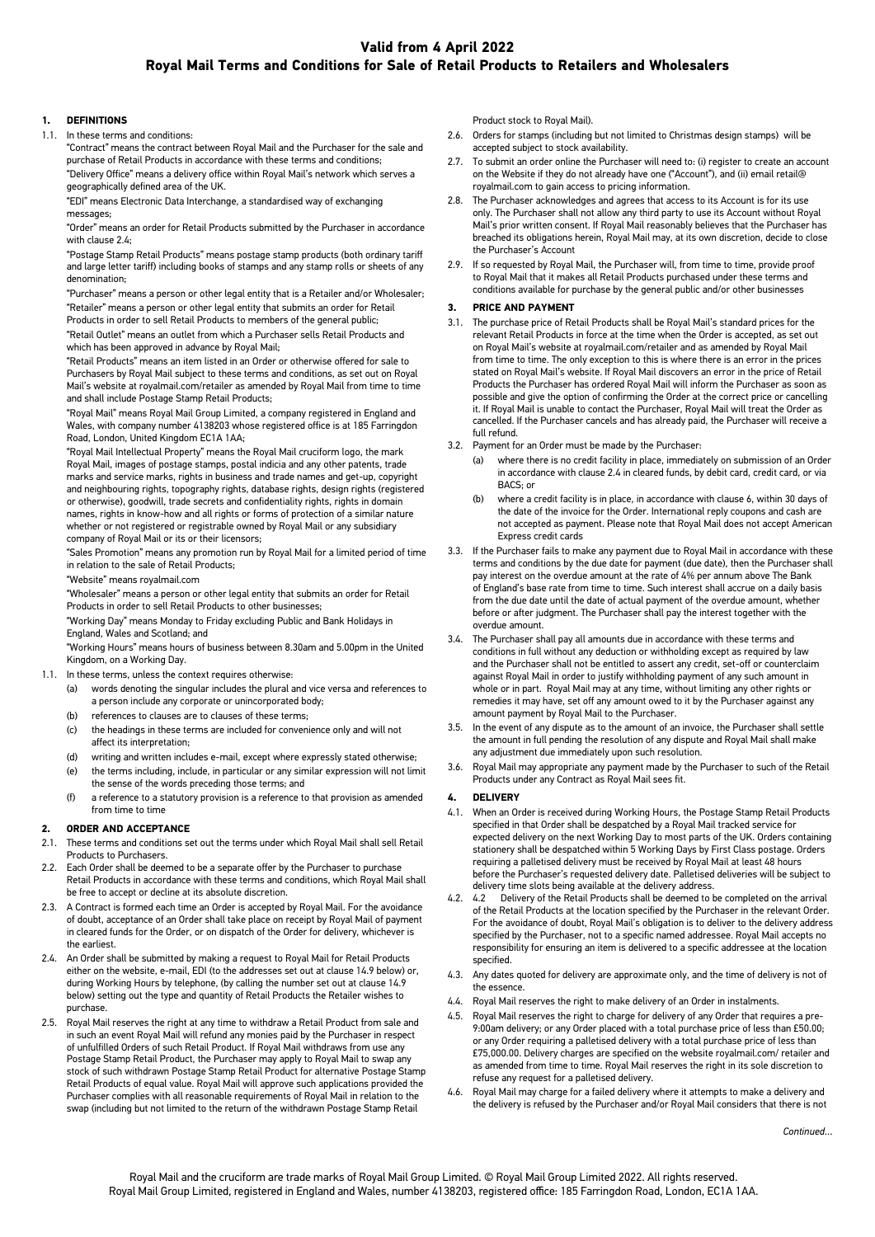# **Valid from 4 April 2022 Royal Mail Terms and Conditions for Sale of Retail Products to Retailers and Wholesalers**

#### **1. DEFINITIONS**

1.1. In these terms and conditions:

"Contract" means the contract between Royal Mail and the Purchaser for the sale and purchase of Retail Products in accordance with these terms and conditions;

"Delivery Office" means a delivery office within Royal Mail's network which serves a geographically defined area of the UK.

"EDI" means Electronic Data Interchange, a standardised way of exchanging messages;

"Order" means an order for Retail Products submitted by the Purchaser in accordance with clause 2.4;

"Postage Stamp Retail Products" means postage stamp products (both ordinary tariff and large letter tariff) including books of stamps and any stamp rolls or sheets of any denomination;

"Purchaser" means a person or other legal entity that is a Retailer and/or Wholesaler; "Retailer" means a person or other legal entity that submits an order for Retail Products in order to sell Retail Products to members of the general public; "Retail Outlet" means an outlet from which a Purchaser sells Retail Products and which has been approved in advance by Royal Mail;

"Retail Products" means an item listed in an Order or otherwise offered for sale to Purchasers by Royal Mail subject to these terms and conditions, as set out on Royal Mail's website at royalmail.com/retailer as amended by Royal Mail from time to time and shall include Postage Stamp Retail Products;

"Royal Mail" means Royal Mail Group Limited, a company registered in England and Wales, with company number 4138203 whose registered office is at 185 Farringdon Road, London, United Kingdom EC1A 1AA;

"Royal Mail Intellectual Property" means the Royal Mail cruciform logo, the mark Royal Mail, images of postage stamps, postal indicia and any other patents, trade marks and service marks, rights in business and trade names and get-up, copyright and neighbouring rights, topography rights, database rights, design rights (registered or otherwise), goodwill, trade secrets and confidentiality rights, rights in domain names, rights in know-how and all rights or forms of protection of a similar nature whether or not registered or registrable owned by Royal Mail or any subsidiary company of Royal Mail or its or their licensors;

"Sales Promotion" means any promotion run by Royal Mail for a limited period of time in relation to the sale of Retail Products;

"Website" means royalmail.com

"Wholesaler" means a person or other legal entity that submits an order for Retail Products in order to sell Retail Products to other businesses;

"Working Day" means Monday to Friday excluding Public and Bank Holidays in England, Wales and Scotland; and

"Working Hours" means hours of business between 8.30am and 5.00pm in the United Kingdom, on a Working Day.

- 1.1. In these terms, unless the context requires otherwise:
	- (a) words denoting the singular includes the plural and vice versa and references to a person include any corporate or unincorporated body;
	- (b) references to clauses are to clauses of these terms;
	- (c) the headings in these terms are included for convenience only and will not affect its interpretation;
	- (d) writing and written includes e-mail, except where expressly stated otherwise;
	- (e) the terms including, include, in particular or any similar expression will not limit the sense of the words preceding those terms; and
	- (f) a reference to a statutory provision is a reference to that provision as amended from time to time

#### **2. ORDER AND ACCEPTANCE**

- 2.1. These terms and conditions set out the terms under which Royal Mail shall sell Retail Products to Purchasers.
- 2.2. Each Order shall be deemed to be a separate offer by the Purchaser to purchase Retail Products in accordance with these terms and conditions, which Royal Mail shall be free to accept or decline at its absolute discretion.
- 2.3. A Contract is formed each time an Order is accepted by Royal Mail. For the avoidance of doubt, acceptance of an Order shall take place on receipt by Royal Mail of payment in cleared funds for the Order, or on dispatch of the Order for delivery, whichever is the earliest.
- 2.4. An Order shall be submitted by making a request to Royal Mail for Retail Products either on the website, e-mail, EDI (to the addresses set out at clause 14.9 below) or, during Working Hours by telephone, (by calling the number set out at clause 14.9 below) setting out the type and quantity of Retail Products the Retailer wishes to purchase.
- 2.5. Royal Mail reserves the right at any time to withdraw a Retail Product from sale and in such an event Royal Mail will refund any monies paid by the Purchaser in respect of unfulfilled Orders of such Retail Product. If Royal Mail withdraws from use any Postage Stamp Retail Product, the Purchaser may apply to Royal Mail to swap any stock of such withdrawn Postage Stamp Retail Product for alternative Postage Stamp Retail Products of equal value. Royal Mail will approve such applications provided the Purchaser complies with all reasonable requirements of Royal Mail in relation to the swap (including but not limited to the return of the withdrawn Postage Stamp Retail

Product stock to Royal Mail).

- 2.6. Orders for stamps (including but not limited to Christmas design stamps) will be accepted subject to stock availability.
- 2.7. To submit an order online the Purchaser will need to: (i) register to create an account on the Website if they do not already have one ("Account"), and (ii) email retail@ royalmail.com to gain access to pricing information.
- 2.8. The Purchaser acknowledges and agrees that access to its Account is for its use only. The Purchaser shall not allow any third party to use its Account without Royal Mail's prior written consent. If Royal Mail reasonably believes that the Purchaser has breached its obligations herein, Royal Mail may, at its own discretion, decide to close the Purchaser's Account
- 2.9. If so requested by Royal Mail, the Purchaser will, from time to time, provide proof to Royal Mail that it makes all Retail Products purchased under these terms and conditions available for purchase by the general public and/or other businesses

#### **3. PRICE AND PAYMENT**

- 3.1. The purchase price of Retail Products shall be Royal Mail's standard prices for the relevant Retail Products in force at the time when the Order is accepted, as set out on Royal Mail's website at royalmail.com/retailer and as amended by Royal Mail from time to time. The only exception to this is where there is an error in the prices stated on Royal Mail's website. If Royal Mail discovers an error in the price of Retail Products the Purchaser has ordered Royal Mail will inform the Purchaser as soon as possible and give the option of confirming the Order at the correct price or cancelling it. If Royal Mail is unable to contact the Purchaser, Royal Mail will treat the Order as cancelled. If the Purchaser cancels and has already paid, the Purchaser will receive a full refund.
- 3.2. Payment for an Order must be made by the Purchaser:
	- (a) where there is no credit facility in place, immediately on submission of an Order in accordance with clause 2.4 in cleared funds, by debit card, credit card, or via BACS; or
	- (b) where a credit facility is in place, in accordance with clause 6, within 30 days of the date of the invoice for the Order. International reply coupons and cash are not accepted as payment. Please note that Royal Mail does not accept American Express credit cards
- 3.3. If the Purchaser fails to make any payment due to Royal Mail in accordance with these terms and conditions by the due date for payment (due date), then the Purchaser shall pay interest on the overdue amount at the rate of 4% per annum above The Bank of England's base rate from time to time. Such interest shall accrue on a daily basis from the due date until the date of actual payment of the overdue amount, whether before or after judgment. The Purchaser shall pay the interest together with the overdue amount.
- 3.4. The Purchaser shall pay all amounts due in accordance with these terms and conditions in full without any deduction or withholding except as required by law and the Purchaser shall not be entitled to assert any credit, set-off or counterclaim against Royal Mail in order to justify withholding payment of any such amount in whole or in part. Royal Mail may at any time, without limiting any other rights or remedies it may have, set off any amount owed to it by the Purchaser against any amount payment by Royal Mail to the Purchaser.
- 3.5. In the event of any dispute as to the amount of an invoice, the Purchaser shall settle the amount in full pending the resolution of any dispute and Royal Mail shall make any adjustment due immediately upon such resolution.
- 3.6. Royal Mail may appropriate any payment made by the Purchaser to such of the Retail Products under any Contract as Royal Mail sees fit.

### **4. DELIVERY**

- 4.1. When an Order is received during Working Hours, the Postage Stamp Retail Products specified in that Order shall be despatched by a Royal Mail tracked service for expected delivery on the next Working Day to most parts of the UK. Orders containing stationery shall be despatched within 5 Working Days by First Class postage. Orders requiring a palletised delivery must be received by Royal Mail at least 48 hours before the Purchaser's requested delivery date. Palletised deliveries will be subject to delivery time slots being available at the delivery address.
- 4.2. 4.2 Delivery of the Retail Products shall be deemed to be completed on the arrival of the Retail Products at the location specified by the Purchaser in the relevant Order. For the avoidance of doubt, Royal Mail's obligation is to deliver to the delivery address specified by the Purchaser, not to a specific named addressee. Royal Mail accepts no responsibility for ensuring an item is delivered to a specific addressee at the location specified.
- 4.3. Any dates quoted for delivery are approximate only, and the time of delivery is not of the essence.
- 4.4. Royal Mail reserves the right to make delivery of an Order in instalments.
- 4.5. Royal Mail reserves the right to charge for delivery of any Order that requires a pre-9:00am delivery; or any Order placed with a total purchase price of less than £50.00; or any Order requiring a palletised delivery with a total purchase price of less than £75,000.00. Delivery charges are specified on the website royalmail.com/ retailer and as amended from time to time. Royal Mail reserves the right in its sole discretion to refuse any request for a palletised delivery.
- 4.6. Royal Mail may charge for a failed delivery where it attempts to make a delivery and the delivery is refused by the Purchaser and/or Royal Mail considers that there is not

*Continued…*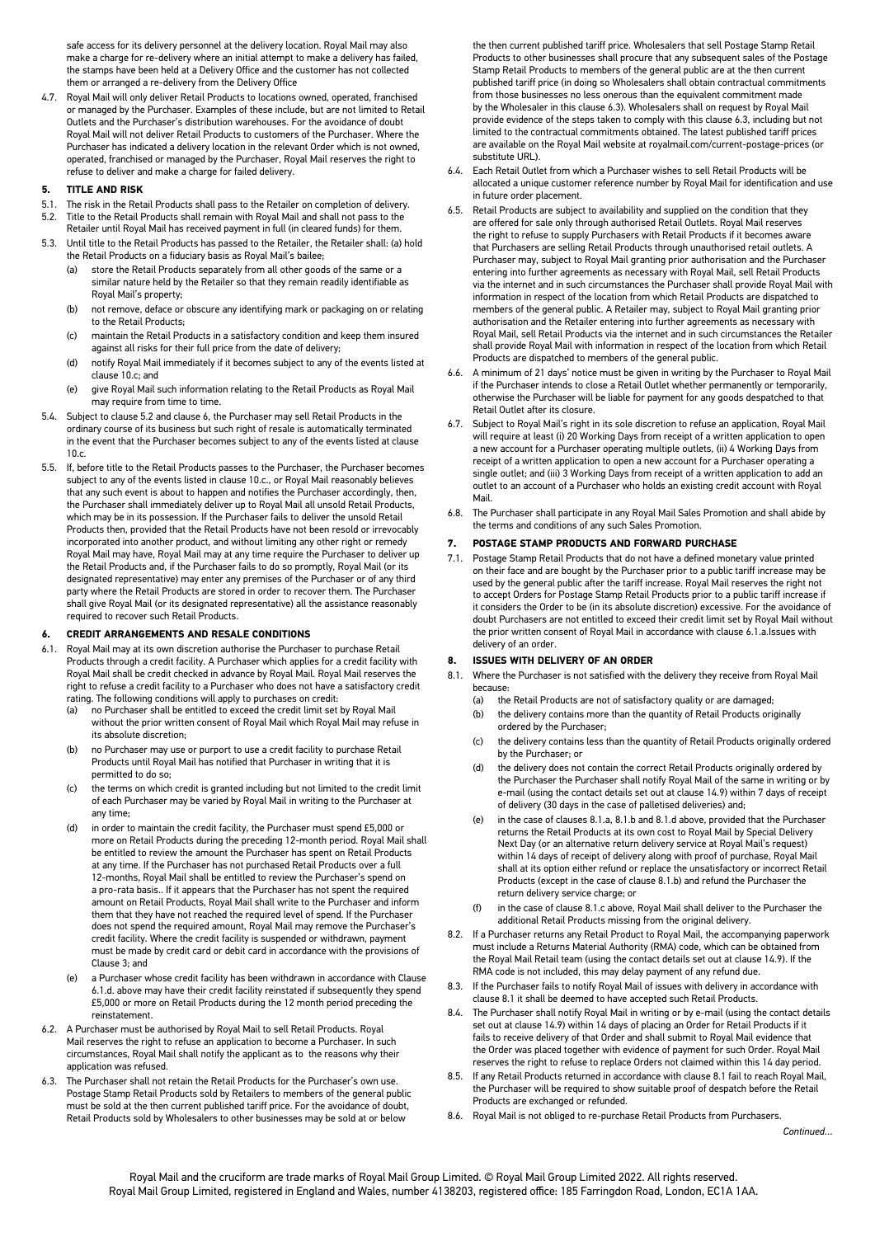safe access for its delivery personnel at the delivery location. Royal Mail may also make a charge for re-delivery where an initial attempt to make a delivery has failed, the stamps have been held at a Delivery Office and the customer has not collected them or arranged a re-delivery from the Delivery Office

4.7. Royal Mail will only deliver Retail Products to locations owned, operated, franchised or managed by the Purchaser. Examples of these include, but are not limited to Retail Outlets and the Purchaser's distribution warehouses. For the avoidance of doubt Royal Mail will not deliver Retail Products to customers of the Purchaser. Where the Purchaser has indicated a delivery location in the relevant Order which is not owned, operated, franchised or managed by the Purchaser, Royal Mail reserves the right to refuse to deliver and make a charge for failed delivery.

#### **5. TITLE AND RISK**

- 5.1. The risk in the Retail Products shall pass to the Retailer on completion of delivery. 5.2. Title to the Retail Products shall remain with Royal Mail and shall not pass to the
- Retailer until Royal Mail has received payment in full (in cleared funds) for them. 5.3. Until title to the Retail Products has passed to the Retailer, the Retailer shall: (a) hold
- the Retail Products on a fiduciary basis as Royal Mail's bailee;
	- store the Retail Products separately from all other goods of the same or a similar nature held by the Retailer so that they remain readily identifiable as Royal Mail's property;
	- (b) not remove, deface or obscure any identifying mark or packaging on or relating to the Retail Products;
	- (c) maintain the Retail Products in a satisfactory condition and keep them insured against all risks for their full price from the date of delivery;
	- (d) notify Royal Mail immediately if it becomes subject to any of the events listed at clause 10.c; and
	- (e) give Royal Mail such information relating to the Retail Products as Royal Mail may require from time to time.
- 5.4. Subject to clause 5.2 and clause 6, the Purchaser may sell Retail Products in the ordinary course of its business but such right of resale is automatically terminated in the event that the Purchaser becomes subject to any of the events listed at clause 10.c.
- 5.5. If, before title to the Retail Products passes to the Purchaser, the Purchaser becomes subject to any of the events listed in clause 10.c., or Royal Mail reasonably believes that any such event is about to happen and notifies the Purchaser accordingly, then, the Purchaser shall immediately deliver up to Royal Mail all unsold Retail Products, which may be in its possession. If the Purchaser fails to deliver the unsold Retail Products then, provided that the Retail Products have not been resold or irrevocably incorporated into another product, and without limiting any other right or remedy Royal Mail may have, Royal Mail may at any time require the Purchaser to deliver up the Retail Products and, if the Purchaser fails to do so promptly, Royal Mail (or its designated representative) may enter any premises of the Purchaser or of any third party where the Retail Products are stored in order to recover them. The Purchaser shall give Royal Mail (or its designated representative) all the assistance reasonably required to recover such Retail Products.

### **6. CREDIT ARRANGEMENTS AND RESALE CONDITIONS**

- 6.1. Royal Mail may at its own discretion authorise the Purchaser to purchase Retail Products through a credit facility. A Purchaser which applies for a credit facility with Royal Mail shall be credit checked in advance by Royal Mail. Royal Mail reserves the right to refuse a credit facility to a Purchaser who does not have a satisfactory credit rating. The following conditions will apply to purchases on credit:
	- (a) no Purchaser shall be entitled to exceed the credit limit set by Royal Mail without the prior written consent of Royal Mail which Royal Mail may refuse in its absolute discretion;
	- (b) no Purchaser may use or purport to use a credit facility to purchase Retail Products until Royal Mail has notified that Purchaser in writing that it is permitted to do so;
	- (c) the terms on which credit is granted including but not limited to the credit limit of each Purchaser may be varied by Royal Mail in writing to the Purchaser at any time;
	- (d) in order to maintain the credit facility, the Purchaser must spend £5,000 or more on Retail Products during the preceding 12-month period. Royal Mail shall be entitled to review the amount the Purchaser has spent on Retail Products at any time. If the Purchaser has not purchased Retail Products over a full 12-months, Royal Mail shall be entitled to review the Purchaser's spend on a pro-rata basis.. If it appears that the Purchaser has not spent the required amount on Retail Products, Royal Mail shall write to the Purchaser and inform them that they have not reached the required level of spend. If the Purchaser does not spend the required amount, Royal Mail may remove the Purchaser's credit facility. Where the credit facility is suspended or withdrawn, payment must be made by credit card or debit card in accordance with the provisions of Clause 3; and
	- (e) a Purchaser whose credit facility has been withdrawn in accordance with Clause 6.1.d. above may have their credit facility reinstated if subsequently they spend £5,000 or more on Retail Products during the 12 month period preceding the reinstatement.
- 6.2. A Purchaser must be authorised by Royal Mail to sell Retail Products. Royal Mail reserves the right to refuse an application to become a Purchaser. In such circumstances, Royal Mail shall notify the applicant as to the reasons why their application was refused.
- 6.3. The Purchaser shall not retain the Retail Products for the Purchaser's own use. Postage Stamp Retail Products sold by Retailers to members of the general public must be sold at the then current published tariff price. For the avoidance of doubt, Retail Products sold by Wholesalers to other businesses may be sold at or below

the then current published tariff price. Wholesalers that sell Postage Stamp Retail Products to other businesses shall procure that any subsequent sales of the Postage Stamp Retail Products to members of the general public are at the then current published tariff price (in doing so Wholesalers shall obtain contractual commitments from those businesses no less onerous than the equivalent commitment made by the Wholesaler in this clause 6.3). Wholesalers shall on request by Royal Mail provide evidence of the steps taken to comply with this clause 6.3, including but not limited to the contractual commitments obtained. The latest published tariff prices are available on the Royal Mail website at royalmail.com/current-postage-prices (or substitute URL).

- 6.4. Each Retail Outlet from which a Purchaser wishes to sell Retail Products will be allocated a unique customer reference number by Royal Mail for identification and use in future order placement.
- 6.5. Retail Products are subject to availability and supplied on the condition that they are offered for sale only through authorised Retail Outlets. Royal Mail reserves the right to refuse to supply Purchasers with Retail Products if it becomes aware that Purchasers are selling Retail Products through unauthorised retail outlets. A Purchaser may, subject to Royal Mail granting prior authorisation and the Purchaser entering into further agreements as necessary with Royal Mail, sell Retail Products via the internet and in such circumstances the Purchaser shall provide Royal Mail with information in respect of the location from which Retail Products are dispatched to members of the general public. A Retailer may, subject to Royal Mail granting prior authorisation and the Retailer entering into further agreements as necessary with Royal Mail, sell Retail Products via the internet and in such circumstances the Retailer shall provide Royal Mail with information in respect of the location from which Retail Products are dispatched to members of the general public.
- 6.6. A minimum of 21 days' notice must be given in writing by the Purchaser to Royal Mail if the Purchaser intends to close a Retail Outlet whether permanently or temporarily, otherwise the Purchaser will be liable for payment for any goods despatched to that Retail Outlet after its closure.
- 6.7. Subject to Royal Mail's right in its sole discretion to refuse an application, Royal Mail will require at least (i) 20 Working Days from receipt of a written application to open a new account for a Purchaser operating multiple outlets, (ii) 4 Working Days from receipt of a written application to open a new account for a Purchaser operating a single outlet; and (iii) 3 Working Days from receipt of a written application to add an outlet to an account of a Purchaser who holds an existing credit account with Royal Mail.
- 6.8. The Purchaser shall participate in any Royal Mail Sales Promotion and shall abide by the terms and conditions of any such Sales Promotion.

# **7. POSTAGE STAMP PRODUCTS AND FORWARD PURCHASE**

7.1. Postage Stamp Retail Products that do not have a defined monetary value printed on their face and are bought by the Purchaser prior to a public tariff increase may be used by the general public after the tariff increase. Royal Mail reserves the right not to accept Orders for Postage Stamp Retail Products prior to a public tariff increase if it considers the Order to be (in its absolute discretion) excessive. For the avoidance of doubt Purchasers are not entitled to exceed their credit limit set by Royal Mail without the prior written consent of Royal Mail in accordance with clause 6.1.a.Issues with delivery of an order.

# **8. ISSUES WITH DELIVERY OF AN ORDER**

- 8.1. Where the Purchaser is not satisfied with the delivery they receive from Royal Mail because:
	- (a) the Retail Products are not of satisfactory quality or are damaged;
	- (b) the delivery contains more than the quantity of Retail Products originally ordered by the Purchaser;
	- (c) the delivery contains less than the quantity of Retail Products originally ordered by the Purchaser; or
	- (d) the delivery does not contain the correct Retail Products originally ordered by the Purchaser the Purchaser shall notify Royal Mail of the same in writing or by e-mail (using the contact details set out at clause 14.9) within 7 days of receipt of delivery (30 days in the case of palletised deliveries) and;
	- (e) in the case of clauses 8.1.a, 8.1.b and 8.1.d above, provided that the Purchaser returns the Retail Products at its own cost to Royal Mail by Special Delivery Next Day (or an alternative return delivery service at Royal Mail's request) within 14 days of receipt of delivery along with proof of purchase, Royal Mail shall at its option either refund or replace the unsatisfactory or incorrect Retail Products (except in the case of clause 8.1.b) and refund the Purchaser the return delivery service charge; or
	- (f) in the case of clause 8.1.c above, Royal Mail shall deliver to the Purchaser the additional Retail Products missing from the original delivery.
- 8.2. If a Purchaser returns any Retail Product to Royal Mail, the accompanying paperwork must include a Returns Material Authority (RMA) code, which can be obtained from the Royal Mail Retail team (using the contact details set out at clause 14.9). If the RMA code is not included, this may delay payment of any refund due.
- 8.3. If the Purchaser fails to notify Royal Mail of issues with delivery in accordance with clause 8.1 it shall be deemed to have accepted such Retail Products.
- 8.4. The Purchaser shall notify Royal Mail in writing or by e-mail (using the contact details set out at clause 14.9) within 14 days of placing an Order for Retail Products if it fails to receive delivery of that Order and shall submit to Royal Mail evidence that the Order was placed together with evidence of payment for such Order. Royal Mail reserves the right to refuse to replace Orders not claimed within this 14 day period.
- 8.5. If any Retail Products returned in accordance with clause 8.1 fail to reach Royal Mail, the Purchaser will be required to show suitable proof of despatch before the Retail Products are exchanged or refunded.
- 8.6. Royal Mail is not obliged to re-purchase Retail Products from Purchasers.

*Continued…*